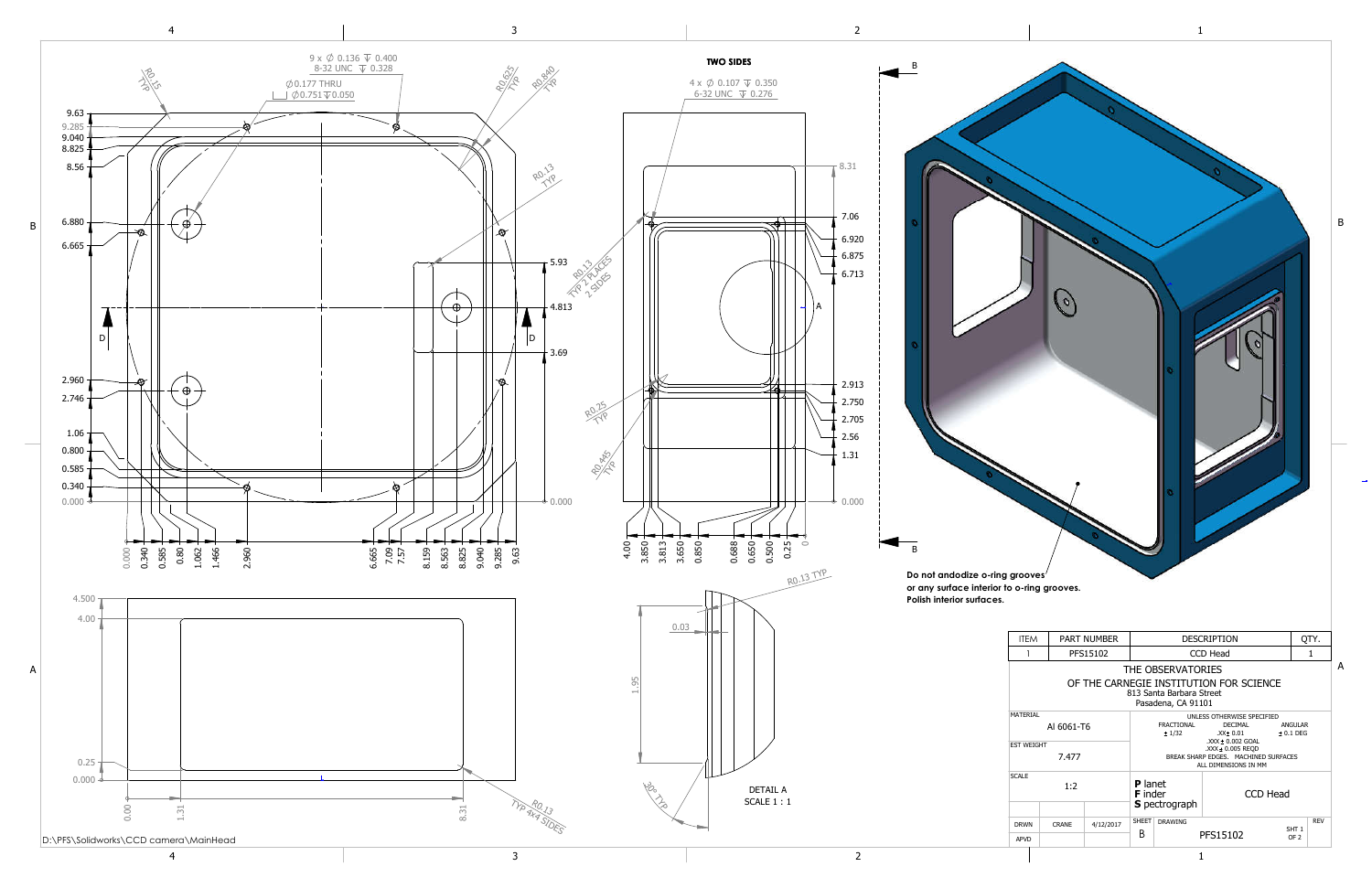